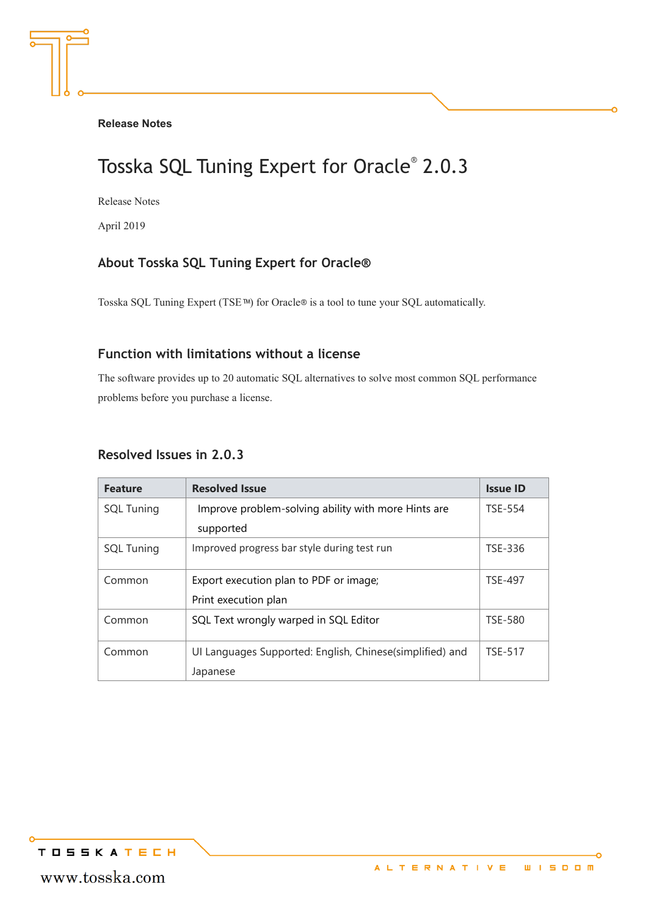#### **Release Notes**

# Tosska SQL Tuning Expert for Oracle® 2.0.3

Release Notes

April 2019

## **About Tosska SQL Tuning Expert for Oracle®**

Tosska SQL Tuning Expert (TSE™) for Oracle® is a tool to tune your SQL automatically.

#### **Function with limitations without a license**

The software provides up to 20 automatic SQL alternatives to solve most common SQL performance problems before you purchase a license.

#### **Resolved Issues in 2.0.3**

| <b>Feature</b>    | <b>Resolved Issue</b>                                    | <b>Issue ID</b> |
|-------------------|----------------------------------------------------------|-----------------|
| <b>SQL Tuning</b> | Improve problem-solving ability with more Hints are      | <b>TSE-554</b>  |
|                   | supported                                                |                 |
| <b>SQL Tuning</b> | Improved progress bar style during test run              | TSE-336         |
| Common            | Export execution plan to PDF or image;                   | <b>TSE-497</b>  |
|                   | Print execution plan                                     |                 |
| Common            | SQL Text wrongly warped in SQL Editor                    | <b>TSE-580</b>  |
| Common            | UI Languages Supported: English, Chinese(simplified) and | <b>TSE-517</b>  |
|                   | Japanese                                                 |                 |

**TOSSKATECH**